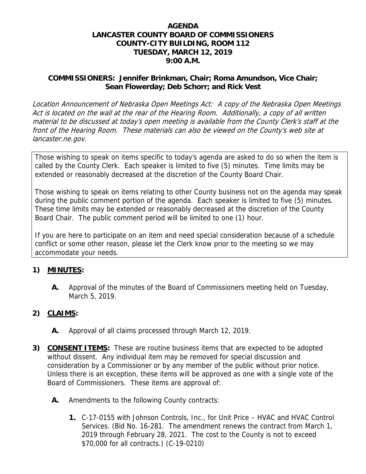#### **AGENDA LANCASTER COUNTY BOARD OF COMMISSIONERS COUNTY-CITY BUILDING, ROOM 112 TUESDAY, MARCH 12, 2019 9:00 A.M.**

#### **COMMISSIONERS: Jennifer Brinkman, Chair; Roma Amundson, Vice Chair; Sean Flowerday; Deb Schorr; and Rick Vest**

Location Announcement of Nebraska Open Meetings Act: A copy of the Nebraska Open Meetings Act is located on the wall at the rear of the Hearing Room. Additionally, a copy of all written material to be discussed at today's open meeting is available from the County Clerk's staff at the front of the Hearing Room. These materials can also be viewed on the County's web site at lancaster.ne.gov.

Those wishing to speak on items specific to today's agenda are asked to do so when the item is called by the County Clerk. Each speaker is limited to five (5) minutes. Time limits may be extended or reasonably decreased at the discretion of the County Board Chair.

Those wishing to speak on items relating to other County business not on the agenda may speak during the public comment portion of the agenda. Each speaker is limited to five (5) minutes. These time limits may be extended or reasonably decreased at the discretion of the County Board Chair. The public comment period will be limited to one (1) hour.

If you are here to participate on an item and need special consideration because of a schedule conflict or some other reason, please let the Clerk know prior to the meeting so we may accommodate your needs.

#### **1) MINUTES:**

**A.** Approval of the minutes of the Board of Commissioners meeting held on Tuesday, March 5, 2019.

# **2) CLAIMS:**

- **A.** Approval of all claims processed through March 12, 2019.
- **3) CONSENT ITEMS:** These are routine business items that are expected to be adopted without dissent. Any individual item may be removed for special discussion and consideration by a Commissioner or by any member of the public without prior notice. Unless there is an exception, these items will be approved as one with a single vote of the Board of Commissioners. These items are approval of:
	- **A.** Amendments to the following County contracts:
		- **1.** C-17-0155 with Johnson Controls, Inc., for Unit Price HVAC and HVAC Control Services. (Bid No. 16-281. The amendment renews the contract from March 1, 2019 through February 28, 2021. The cost to the County is not to exceed \$70,000 for all contracts.) (C-19-0210)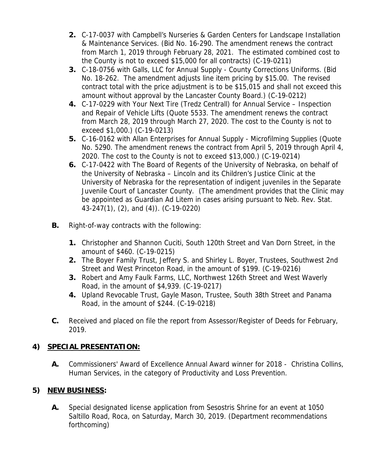- **2.** C-17-0037 with Campbell's Nurseries & Garden Centers for Landscape Installation & Maintenance Services. (Bid No. 16-290. The amendment renews the contract from March 1, 2019 through February 28, 2021. The estimated combined cost to the County is not to exceed \$15,000 for all contracts) (C-19-0211)
- **3.** C-18-0756 with Galls, LLC for Annual Supply County Corrections Uniforms. (Bid No. 18-262. The amendment adjusts line item pricing by \$15.00. The revised contract total with the price adjustment is to be \$15,015 and shall not exceed this amount without approval by the Lancaster County Board.) (C-19-0212)
- **4.** C-17-0229 with Your Next Tire (Tredz Centrall) for Annual Service Inspection and Repair of Vehicle Lifts (Quote 5533. The amendment renews the contract from March 28, 2019 through March 27, 2020. The cost to the County is not to exceed \$1,000.) (C-19-0213)
- **5.** C-16-0162 with Allan Enterprises for Annual Supply Microfilming Supplies (Quote No. 5290. The amendment renews the contract from April 5, 2019 through April 4, 2020. The cost to the County is not to exceed \$13,000.) (C-19-0214)
- **6.** C-17-0422 with The Board of Regents of the University of Nebraska, on behalf of the University of Nebraska – Lincoln and its Children's Justice Clinic at the University of Nebraska for the representation of indigent juveniles in the Separate Juvenile Court of Lancaster County. (The amendment provides that the Clinic may be appointed as Guardian Ad Litem in cases arising pursuant to Neb. Rev. Stat. 43-247(1), (2), and (4)). (C-19-0220)
- **B.** Right-of-way contracts with the following:
	- **1.** Christopher and Shannon Cuciti, South 120th Street and Van Dorn Street, in the amount of \$460. (C-19-0215)
	- **2.** The Boyer Family Trust, Jeffery S. and Shirley L. Boyer, Trustees, Southwest 2nd Street and West Princeton Road, in the amount of \$199. (C-19-0216)
	- **3.** Robert and Amy Faulk Farms, LLC, Northwest 126th Street and West Waverly Road, in the amount of \$4,939. (C-19-0217)
	- **4.** Upland Revocable Trust, Gayle Mason, Trustee, South 38th Street and Panama Road, in the amount of \$244. (C-19-0218)
- **C.** Received and placed on file the report from Assessor/Register of Deeds for February, 2019.

# **4) SPECIAL PRESENTATION:**

**A.** Commissioners' Award of Excellence Annual Award winner for 2018 - Christina Collins, Human Services, in the category of Productivity and Loss Prevention.

# **5) NEW BUSINESS:**

**A.** Special designated license application from Sesostris Shrine for an event at 1050 Saltillo Road, Roca, on Saturday, March 30, 2019. (Department recommendations forthcoming)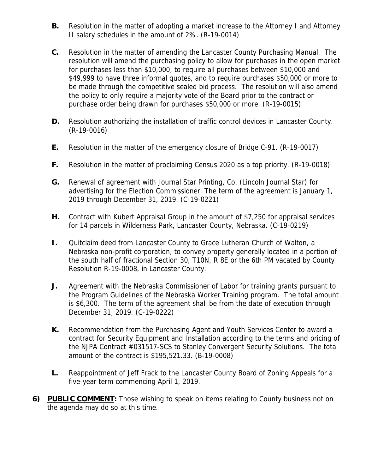- **B.** Resolution in the matter of adopting a market increase to the Attorney I and Attorney II salary schedules in the amount of 2%. (R-19-0014)
- **C.** Resolution in the matter of amending the Lancaster County Purchasing Manual. The resolution will amend the purchasing policy to allow for purchases in the open market for purchases less than \$10,000, to require all purchases between \$10,000 and \$49,999 to have three informal quotes, and to require purchases \$50,000 or more to be made through the competitive sealed bid process. The resolution will also amend the policy to only require a majority vote of the Board prior to the contract or purchase order being drawn for purchases \$50,000 or more. (R-19-0015)
- **D.** Resolution authorizing the installation of traffic control devices in Lancaster County. (R-19-0016)
- **E.** Resolution in the matter of the emergency closure of Bridge C-91. (R-19-0017)
- **F.** Resolution in the matter of proclaiming Census 2020 as a top priority. (R-19-0018)
- **G.** Renewal of agreement with Journal Star Printing, Co. (Lincoln Journal Star) for advertising for the Election Commissioner. The term of the agreement is January 1, 2019 through December 31, 2019. (C-19-0221)
- **H.** Contract with Kubert Appraisal Group in the amount of \$7,250 for appraisal services for 14 parcels in Wilderness Park, Lancaster County, Nebraska. (C-19-0219)
- **I.** Quitclaim deed from Lancaster County to Grace Lutheran Church of Walton, a Nebraska non-profit corporation, to convey property generally located in a portion of the south half of fractional Section 30, T10N, R 8E or the 6th PM vacated by County Resolution R-19-0008, in Lancaster County.
- **J.** Agreement with the Nebraska Commissioner of Labor for training grants pursuant to the Program Guidelines of the Nebraska Worker Training program. The total amount is \$6,300. The term of the agreement shall be from the date of execution through December 31, 2019. (C-19-0222)
- **K.** Recommendation from the Purchasing Agent and Youth Services Center to award a contract for Security Equipment and Installation according to the terms and pricing of the NJPA Contract #031517-SCS to Stanley Convergent Security Solutions. The total amount of the contract is \$195,521.33. (B-19-0008)
- **L.** Reappointment of Jeff Frack to the Lancaster County Board of Zoning Appeals for a five-year term commencing April 1, 2019.
- **6) PUBLIC COMMENT:** Those wishing to speak on items relating to County business not on the agenda may do so at this time.